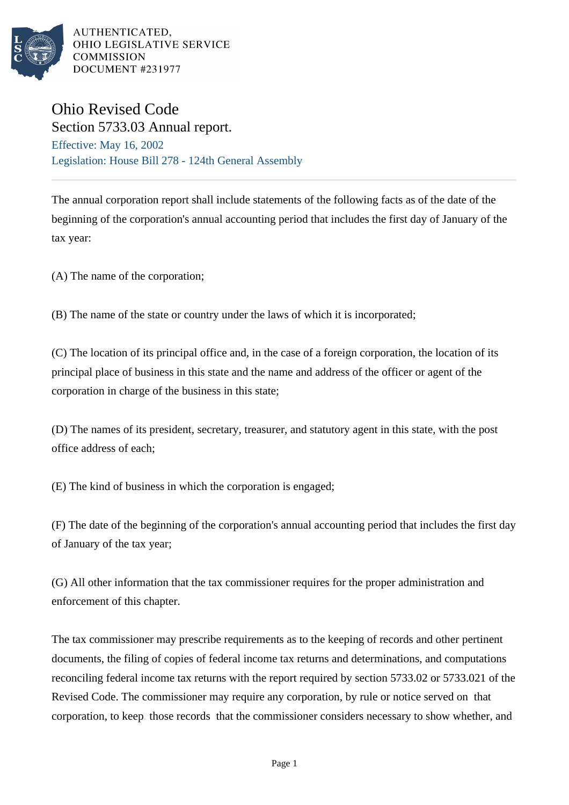

AUTHENTICATED. OHIO LEGISLATIVE SERVICE **COMMISSION** DOCUMENT #231977

## Ohio Revised Code Section 5733.03 Annual report.

Effective: May 16, 2002 Legislation: House Bill 278 - 124th General Assembly

The annual corporation report shall include statements of the following facts as of the date of the beginning of the corporation's annual accounting period that includes the first day of January of the tax year:

(A) The name of the corporation;

(B) The name of the state or country under the laws of which it is incorporated;

(C) The location of its principal office and, in the case of a foreign corporation, the location of its principal place of business in this state and the name and address of the officer or agent of the corporation in charge of the business in this state;

(D) The names of its president, secretary, treasurer, and statutory agent in this state, with the post office address of each;

(E) The kind of business in which the corporation is engaged;

(F) The date of the beginning of the corporation's annual accounting period that includes the first day of January of the tax year;

(G) All other information that the tax commissioner requires for the proper administration and enforcement of this chapter.

The tax commissioner may prescribe requirements as to the keeping of records and other pertinent documents, the filing of copies of federal income tax returns and determinations, and computations reconciling federal income tax returns with the report required by section 5733.02 or 5733.021 of the Revised Code. The commissioner may require any corporation, by rule or notice served on that corporation, to keep those records that the commissioner considers necessary to show whether, and